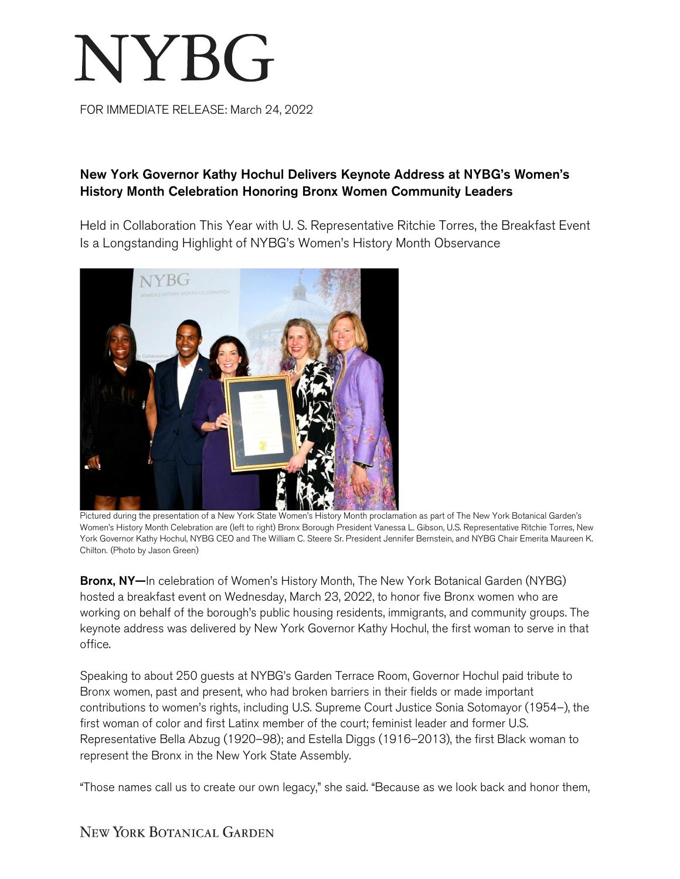## NYBG

FOR IMMEDIATE RELEASE: March 24, 2022

## New York Governor Kathy Hochul Delivers Keynote Address at NYBG's Women's History Month Celebration Honoring Bronx Women Community Leaders

Held in Collaboration This Year with U. S. Representative Ritchie Torres, the Breakfast Event Is a Longstanding Highlight of NYBG's Women's History Month Observance



Pictured during the presentation of a New York State Women's History Month proclamation as part of The New York Botanical Garden's Women's History Month Celebration are (left to right) Bronx Borough President Vanessa L. Gibson, U.S. Representative Ritchie Torres, New York Governor Kathy Hochul, NYBG CEO and The William C. Steere Sr. President Jennifer Bernstein, and NYBG Chair Emerita Maureen K. Chilton. (Photo by Jason Green)

Bronx, NY-In celebration of Women's History Month, The New York Botanical Garden (NYBG) hosted a breakfast event on Wednesday, March 23, 2022, to honor five Bronx women who are working on behalf of the borough's public housing residents, immigrants, and community groups. The keynote address was delivered by New York Governor Kathy Hochul, the first woman to serve in that office.

Speaking to about 250 guests at NYBG's Garden Terrace Room, Governor Hochul paid tribute to Bronx women, past and present, who had broken barriers in their fields or made important contributions to women's rights, including U.S. Supreme Court Justice Sonia Sotomayor (1954–), the first woman of color and first Latinx member of the court; feminist leader and former U.S. Representative Bella Abzug (1920–98); and Estella Diggs (1916–2013), the first Black woman to represent the Bronx in the New York State Assembly.

"Those names call us to create our own legacy," she said. "Because as we look back and honor them,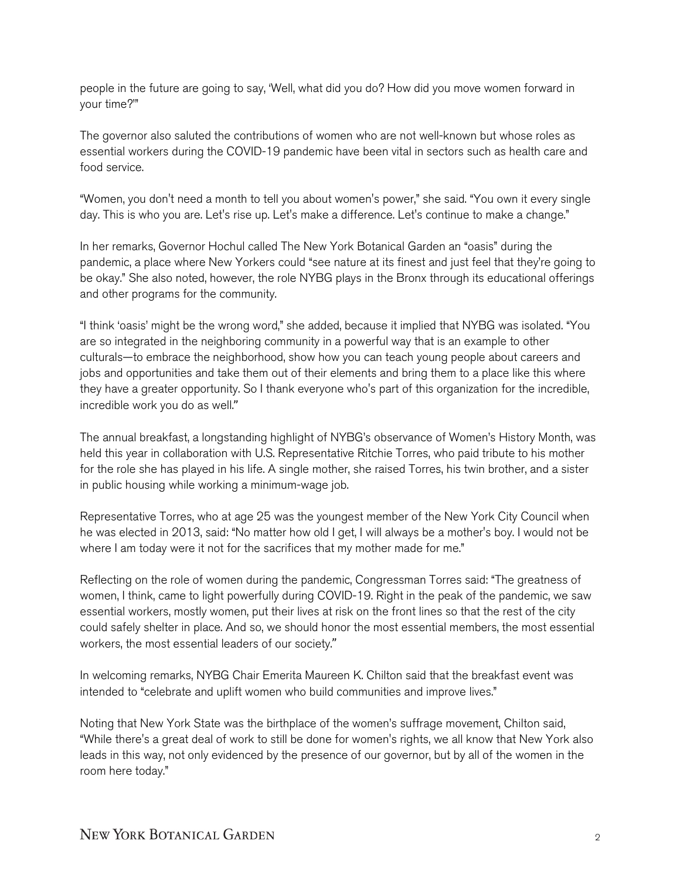people in the future are going to say, 'Well, what did you do? How did you move women forward in your time?'"

The governor also saluted the contributions of women who are not well-known but whose roles as essential workers during the COVID-19 pandemic have been vital in sectors such as health care and food service.

"Women, you don't need a month to tell you about women's power," she said. "You own it every single day. This is who you are. Let's rise up. Let's make a difference. Let's continue to make a change."

In her remarks, Governor Hochul called The New York Botanical Garden an "oasis" during the pandemic, a place where New Yorkers could "see nature at its finest and just feel that they're going to be okay." She also noted, however, the role NYBG plays in the Bronx through its educational offerings and other programs for the community.

"I think 'oasis' might be the wrong word," she added, because it implied that NYBG was isolated. "You are so integrated in the neighboring community in a powerful way that is an example to other culturals—to embrace the neighborhood, show how you can teach young people about careers and jobs and opportunities and take them out of their elements and bring them to a place like this where they have a greater opportunity. So I thank everyone who's part of this organization for the incredible, incredible work you do as well."

The annual breakfast, a longstanding highlight of NYBG's observance of Women's History Month, was held this year in collaboration with U.S. Representative Ritchie Torres, who paid tribute to his mother for the role she has played in his life. A single mother, she raised Torres, his twin brother, and a sister in public housing while working a minimum-wage job.

Representative Torres, who at age 25 was the youngest member of the New York City Council when he was elected in 2013, said: "No matter how old I get, I will always be a mother's boy. I would not be where I am today were it not for the sacrifices that my mother made for me."

Reflecting on the role of women during the pandemic, Congressman Torres said: "The greatness of women, I think, came to light powerfully during COVID-19. Right in the peak of the pandemic, we saw essential workers, mostly women, put their lives at risk on the front lines so that the rest of the city could safely shelter in place. And so, we should honor the most essential members, the most essential workers, the most essential leaders of our society."

In welcoming remarks, NYBG Chair Emerita Maureen K. Chilton said that the breakfast event was intended to "celebrate and uplift women who build communities and improve lives."

Noting that New York State was the birthplace of the women's suffrage movement, Chilton said, "While there's a great deal of work to still be done for women's rights, we all know that New York also leads in this way, not only evidenced by the presence of our governor, but by all of the women in the room here today."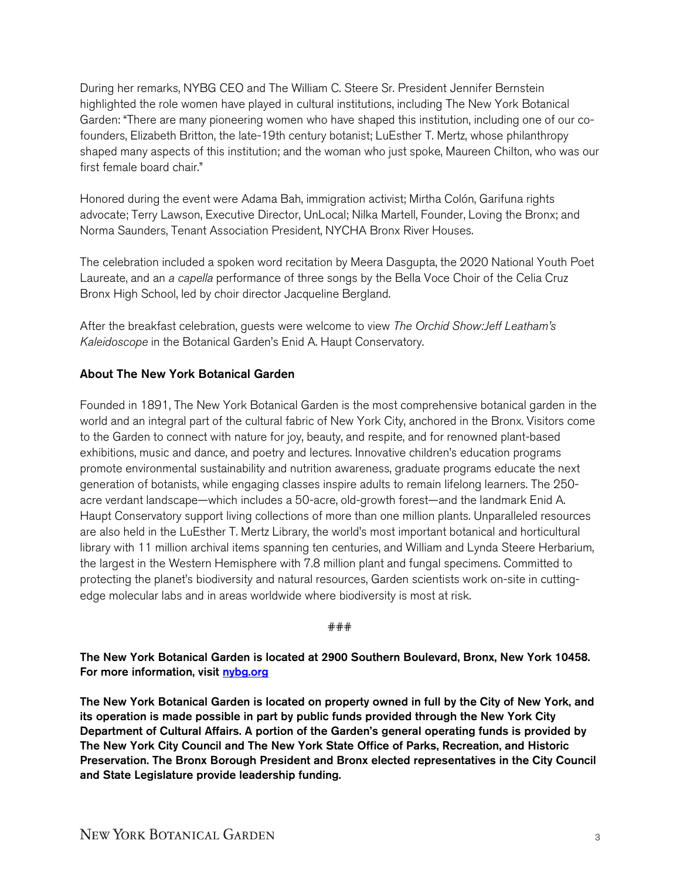During her remarks, NYBG CEO and The William C. Steere Sr. President Jennifer Bernstein highlighted the role women have played in cultural institutions, including The New York Botanical Garden: "There are many pioneering women who have shaped this institution, including one of our cofounders, Elizabeth Britton, the late-19th century botanist; LuEsther T. Mertz, whose philanthropy shaped many aspects of this institution; and the woman who just spoke, Maureen Chilton, who was our first female board chair."

Honored during the event were Adama Bah, immigration activist; Mirtha Colón, Garifuna rights advocate; Terry Lawson, Executive Director, UnLocal; Nilka Martell, Founder, Loving the Bronx; and Norma Saunders, Tenant Association President, NYCHA Bronx River Houses.

The celebration included a spoken word recitation by Meera Dasgupta, the 2020 National Youth Poet Laureate, and an *a capella* performance of three songs by the Bella Voce Choir of the Celia Cruz Bronx High School, led by choir director Jacqueline Bergland.

After the breakfast celebration, guests were welcome to view *The Orchid Show:Jeff Leatham's Kaleidoscope* in the Botanical Garden's Enid A. Haupt Conservatory.

## About The New York Botanical Garden

Founded in 1891, The New York Botanical Garden is the most comprehensive botanical garden in the world and an integral part of the cultural fabric of New York City, anchored in the Bronx. Visitors come to the Garden to connect with nature for joy, beauty, and respite, and for renowned plant-based exhibitions, music and dance, and poetry and lectures. Innovative children's education programs promote environmental sustainability and nutrition awareness, graduate programs educate the next generation of botanists, while engaging classes inspire adults to remain lifelong learners. The 250 acre verdant landscape—which includes a 50-acre, old-growth forest—and the landmark Enid A. Haupt Conservatory support living collections of more than one million plants. Unparalleled resources are also held in the LuEsther T. Mertz Library, the world's most important botanical and horticultural library with 11 million archival items spanning ten centuries, and William and Lynda Steere Herbarium, the largest in the Western Hemisphere with 7.8 million plant and fungal specimens. Committed to protecting the planet's biodiversity and natural resources, Garden scientists work on-site in cuttingedge molecular labs and in areas worldwide where biodiversity is most at risk.

## ###

The New York Botanical Garden is located at 2900 Southern Boulevard, Bronx, New York 10458. For more information, visit [nybg.org](https://www.nybg.org/)

The New York Botanical Garden is located on property owned in full by the City of New York, and its operation is made possible in part by public funds provided through the New York City Department of Cultural Affairs. A portion of the Garden's general operating funds is provided by The New York City Council and The New York State Office of Parks, Recreation, and Historic Preservation. The Bronx Borough President and Bronx elected representatives in the City Council and State Legislature provide leadership funding.